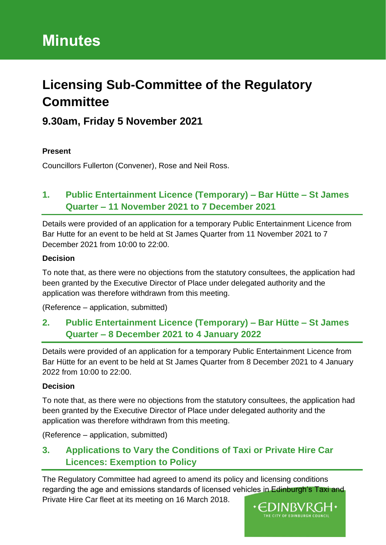# **Licensing Sub-Committee of the Regulatory Committee**

## **9.30am, Friday 5 November 2021**

#### **Present**

Councillors Fullerton (Convener), Rose and Neil Ross.

## **1. Public Entertainment Licence (Temporary) – Bar Hütte – St James Quarter – 11 November 2021 to 7 December 2021**

Details were provided of an application for a temporary Public Entertainment Licence from Bar Hutte for an event to be held at St James Quarter from 11 November 2021 to 7 December 2021 from 10:00 to 22:00.

#### **Decision**

To note that, as there were no objections from the statutory consultees, the application had been granted by the Executive Director of Place under delegated authority and the application was therefore withdrawn from this meeting.

(Reference – application, submitted)

### **2. Public Entertainment Licence (Temporary) – Bar Hütte – St James Quarter – 8 December 2021 to 4 January 2022**

Details were provided of an application for a temporary Public Entertainment Licence from Bar Hütte for an event to be held at St James Quarter from 8 December 2021 to 4 January 2022 from 10:00 to 22:00.

#### **Decision**

To note that, as there were no objections from the statutory consultees, the application had been granted by the Executive Director of Place under delegated authority and the application was therefore withdrawn from this meeting.

(Reference – application, submitted)

## **3. Applications to Vary the Conditions of Taxi or Private Hire Car Licences: Exemption to Policy**

The Regulatory Committee had agreed to amend its policy and licensing conditions regarding the age and emissions standards of licensed vehicles in Edinburgh's Taxi and Private Hire Car fleet at its meeting on 16 March 2018.